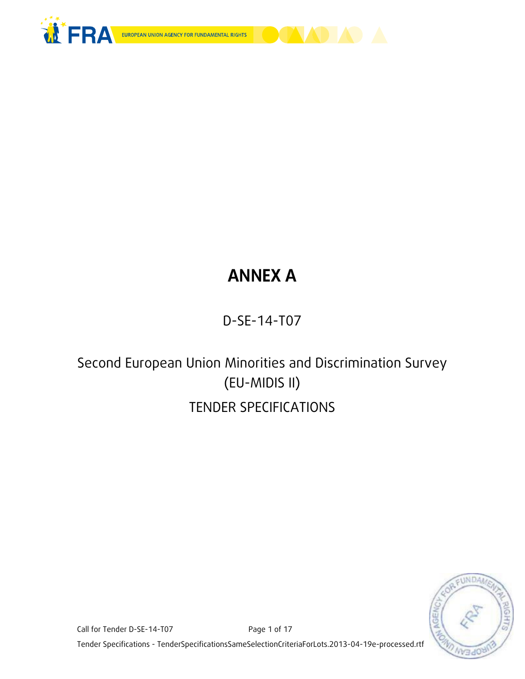



# ANNEX A

## D-SE-14-T07

## Second European Union Minorities and Discrimination Survey (EU-MIDIS II) TENDER SPECIFICATIONS



Call for Tender D-SE-14-T07 Page 1 of 17

Tender Specifications - TenderSpecificationsSameSelectionCriteriaForLots.2013-04-19e-processed.rtf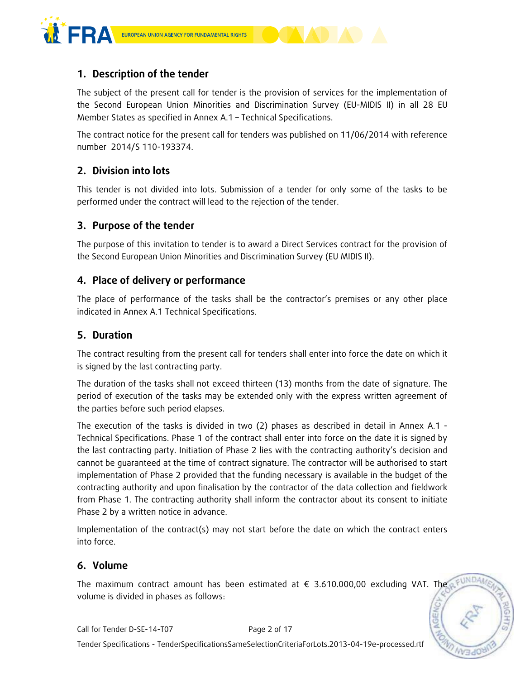

## 1. Description of the tender

The subject of the present call for tender is the provision of services for the implementation of the Second European Union Minorities and Discrimination Survey (EU-MIDIS II) in all 28 EU Member States as specified in Annex A.1 – Technical Specifications.

The contract notice for the present call for tenders was published on 11/06/2014 with reference number 2014/S 110-193374.

## 2. Division into lots

This tender is not divided into lots. Submission of a tender for only some of the tasks to be performed under the contract will lead to the rejection of the tender.

## 3. Purpose of the tender

The purpose of this invitation to tender is to award a Direct Services contract for the provision of the Second European Union Minorities and Discrimination Survey (EU MIDIS II).

## 4. Place of delivery or performance

The place of performance of the tasks shall be the contractor's premises or any other place indicated in Annex A.1 Technical Specifications.

#### 5. Duration

The contract resulting from the present call for tenders shall enter into force the date on which it is signed by the last contracting party.

The duration of the tasks shall not exceed thirteen (13) months from the date of signature. The period of execution of the tasks may be extended only with the express written agreement of the parties before such period elapses.

The execution of the tasks is divided in two (2) phases as described in detail in Annex A.1 - Technical Specifications. Phase 1 of the contract shall enter into force on the date it is signed by the last contracting party. Initiation of Phase 2 lies with the contracting authority's decision and cannot be guaranteed at the time of contract signature. The contractor will be authorised to start implementation of Phase 2 provided that the funding necessary is available in the budget of the contracting authority and upon finalisation by the contractor of the data collection and fieldwork from Phase 1. The contracting authority shall inform the contractor about its consent to initiate Phase 2 by a written notice in advance.

Implementation of the contract(s) may not start before the date on which the contract enters into force.

## 6. Volume

The maximum contract amount has been estimated at  $\epsilon$  3.610.000,00 excluding VAT. The volume is divided in phases as follows: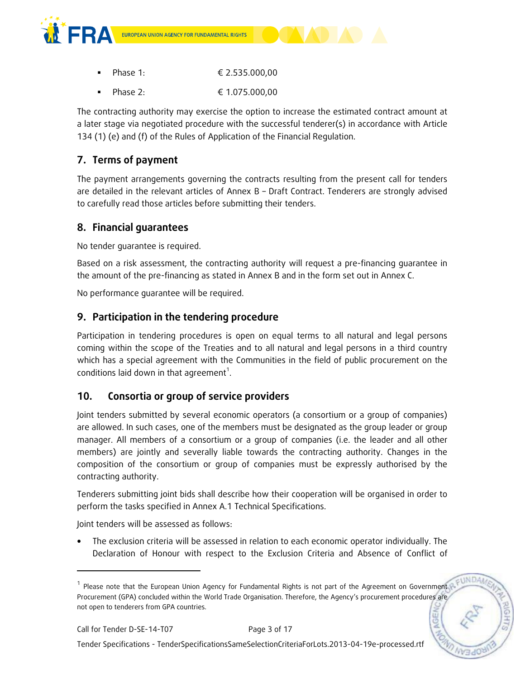



Phase 2: € 1.075.000,00

The contracting authority may exercise the option to increase the estimated contract amount at a later stage via negotiated procedure with the successful tenderer(s) in accordance with Article 134 (1) (e) and (f) of the Rules of Application of the Financial Regulation.

## 7. Terms of payment

The payment arrangements governing the contracts resulting from the present call for tenders are detailed in the relevant articles of Annex B – Draft Contract. Tenderers are strongly advised to carefully read those articles before submitting their tenders.

## 8. Financial guarantees

No tender guarantee is required.

Based on a risk assessment, the contracting authority will request a pre-financing guarantee in the amount of the pre-financing as stated in Annex B and in the form set out in Annex C.

No performance guarantee will be required.

## 9. Participation in the tendering procedure

Participation in tendering procedures is open on equal terms to all natural and legal persons coming within the scope of the Treaties and to all natural and legal persons in a third country which has a special agreement with the Communities in the field of public procurement on the conditions laid down in that agreement<sup>1</sup>.

## 10. Consortia or group of service providers

Joint tenders submitted by several economic operators (a consortium or a group of companies) are allowed. In such cases, one of the members must be designated as the group leader or group manager. All members of a consortium or a group of companies (i.e. the leader and all other members) are jointly and severally liable towards the contracting authority. Changes in the composition of the consortium or group of companies must be expressly authorised by the contracting authority.

Tenderers submitting joint bids shall describe how their cooperation will be organised in order to perform the tasks specified in Annex A.1 Technical Specifications.

Joint tenders will be assessed as follows:

• The exclusion criteria will be assessed in relation to each economic operator individually. The Declaration of Honour with respect to the Exclusion Criteria and Absence of Conflict of

EUNDA <sup>1</sup> Please note that the European Union Agency for Fundamental Rights is not part of the Agreement on Government Procurement (GPA) concluded within the World Trade Organisation. Therefore, the Agency's procurement procedures are not open to tenderers from GPA countries.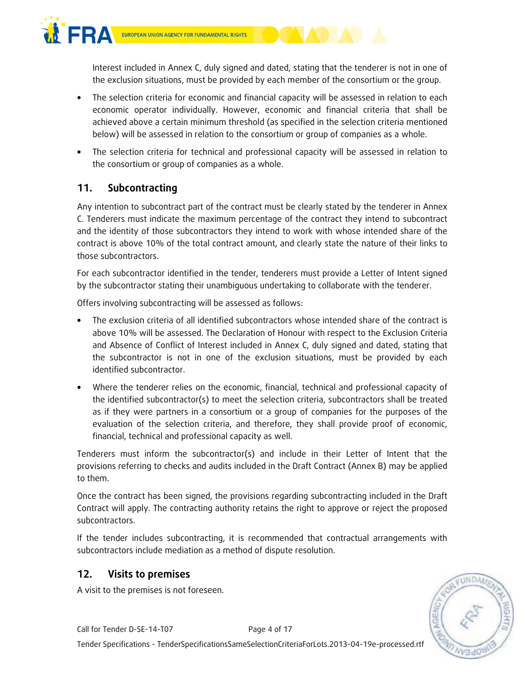

Interest included in Annex C, duly signed and dated, stating that the tenderer is not in one of the exclusion situations, must be provided by each member of the consortium or the group.

- The selection criteria for economic and financial capacity will be assessed in relation to each economic operator individually. However, economic and financial criteria that shall be achieved above a certain minimum threshold (as specified in the selection criteria mentioned below) will be assessed in relation to the consortium or group of companies as a whole.
- The selection criteria for technical and professional capacity will be assessed in relation to the consortium or group of companies as a whole.

## 11. Subcontracting

Any intention to subcontract part of the contract must be clearly stated by the tenderer in Annex C. Tenderers must indicate the maximum percentage of the contract they intend to subcontract and the identity of those subcontractors they intend to work with whose intended share of the contract is above 10% of the total contract amount, and clearly state the nature of their links to those subcontractors.

For each subcontractor identified in the tender, tenderers must provide a Letter of Intent signed by the subcontractor stating their unambiguous undertaking to collaborate with the tenderer.

Offers involving subcontracting will be assessed as follows:

- The exclusion criteria of all identified subcontractors whose intended share of the contract is above 10% will be assessed. The Declaration of Honour with respect to the Exclusion Criteria and Absence of Conflict of Interest included in Annex C, duly signed and dated, stating that the subcontractor is not in one of the exclusion situations, must be provided by each identified subcontractor.
- Where the tenderer relies on the economic, financial, technical and professional capacity of the identified subcontractor(s) to meet the selection criteria, subcontractors shall be treated as if they were partners in a consortium or a group of companies for the purposes of the evaluation of the selection criteria, and therefore, they shall provide proof of economic, financial, technical and professional capacity as well.

Tenderers must inform the subcontractor(s) and include in their Letter of Intent that the provisions referring to checks and audits included in the Draft Contract (Annex B) may be applied to them.

Once the contract has been signed, the provisions regarding subcontracting included in the Draft Contract will apply. The contracting authority retains the right to approve or reject the proposed subcontractors.

If the tender includes subcontracting, it is recommended that contractual arrangements with subcontractors include mediation as a method of dispute resolution.

## 12. Visits to premises

A visit to the premises is not foreseen.

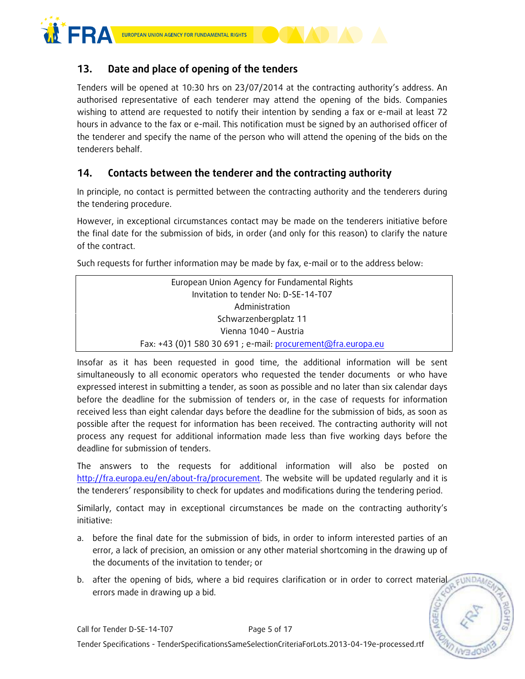

## 13. Date and place of opening of the tenders

Tenders will be opened at 10:30 hrs on 23/07/2014 at the contracting authority's address. An authorised representative of each tenderer may attend the opening of the bids. Companies wishing to attend are requested to notify their intention by sending a fax or e-mail at least 72 hours in advance to the fax or e-mail. This notification must be signed by an authorised officer of the tenderer and specify the name of the person who will attend the opening of the bids on the tenderers behalf.

## 14. Contacts between the tenderer and the contracting authority

In principle, no contact is permitted between the contracting authority and the tenderers during the tendering procedure.

However, in exceptional circumstances contact may be made on the tenderers initiative before the final date for the submission of bids, in order (and only for this reason) to clarify the nature of the contract.

Such requests for further information may be made by fax, e-mail or to the address below:

| European Union Agency for Fundamental Rights                 |
|--------------------------------------------------------------|
| Invitation to tender No: D-SE-14-T07                         |
| Administration                                               |
| Schwarzenbergplatz 11                                        |
| Vienna 1040 - Austria                                        |
| Fax: +43 (0)1 580 30 691 ; e-mail: procurement@fra.europa.eu |

Insofar as it has been requested in good time, the additional information will be sent simultaneously to all economic operators who requested the tender documents or who have expressed interest in submitting a tender, as soon as possible and no later than six calendar days before the deadline for the submission of tenders or, in the case of requests for information received less than eight calendar days before the deadline for the submission of bids, as soon as possible after the request for information has been received. The contracting authority will not process any request for additional information made less than five working days before the deadline for submission of tenders.

The answers to the requests for additional information will also be posted on http://fra.europa.eu/en/about-fra/procurement. The website will be updated regularly and it is the tenderers' responsibility to check for updates and modifications during the tendering period.

Similarly, contact may in exceptional circumstances be made on the contracting authority's initiative:

- a. before the final date for the submission of bids, in order to inform interested parties of an error, a lack of precision, an omission or any other material shortcoming in the drawing up of the documents of the invitation to tender; or
- EUNDA b. after the opening of bids, where a bid requires clarification or in order to correct material errors made in drawing up a bid.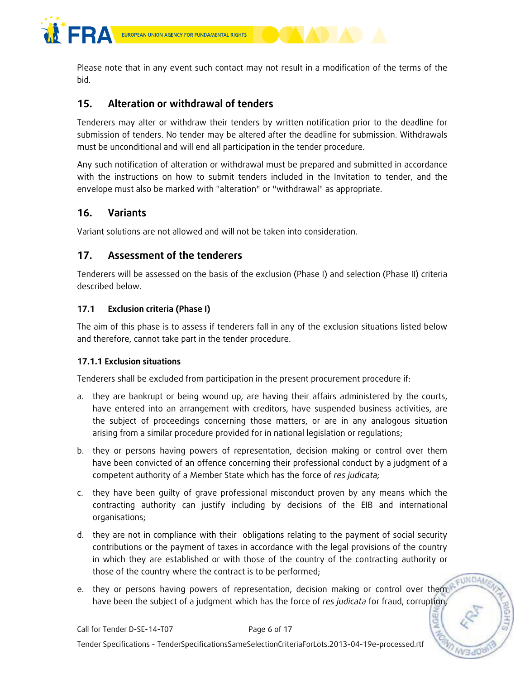

Please note that in any event such contact may not result in a modification of the terms of the bid.

## 15. Alteration or withdrawal of tenders

Tenderers may alter or withdraw their tenders by written notification prior to the deadline for submission of tenders. No tender may be altered after the deadline for submission. Withdrawals must be unconditional and will end all participation in the tender procedure.

Any such notification of alteration or withdrawal must be prepared and submitted in accordance with the instructions on how to submit tenders included in the Invitation to tender, and the envelope must also be marked with "alteration" or "withdrawal" as appropriate.

## 16. Variants

Variant solutions are not allowed and will not be taken into consideration.

## 17. Assessment of the tenderers

Tenderers will be assessed on the basis of the exclusion (Phase I) and selection (Phase II) criteria described below.

#### 17.1 Exclusion criteria (Phase I)

The aim of this phase is to assess if tenderers fall in any of the exclusion situations listed below and therefore, cannot take part in the tender procedure.

#### 17.1.1 Exclusion situations

Tenderers shall be excluded from participation in the present procurement procedure if:

- a. they are bankrupt or being wound up, are having their affairs administered by the courts, have entered into an arrangement with creditors, have suspended business activities, are the subject of proceedings concerning those matters, or are in any analogous situation arising from a similar procedure provided for in national legislation or regulations;
- b. they or persons having powers of representation, decision making or control over them have been convicted of an offence concerning their professional conduct by a judgment of a competent authority of a Member State which has the force of res judicata;
- c. they have been guilty of grave professional misconduct proven by any means which the contracting authority can justify including by decisions of the EIB and international organisations;
- d. they are not in compliance with their obligations relating to the payment of social security contributions or the payment of taxes in accordance with the legal provisions of the country in which they are established or with those of the country of the contracting authority or those of the country where the contract is to be performed;
- e. they or persons having powers of representation, decision making or control over them have been the subject of a judgment which has the force of res judicata for fraud, corruption,

EUNDAN

**AGE**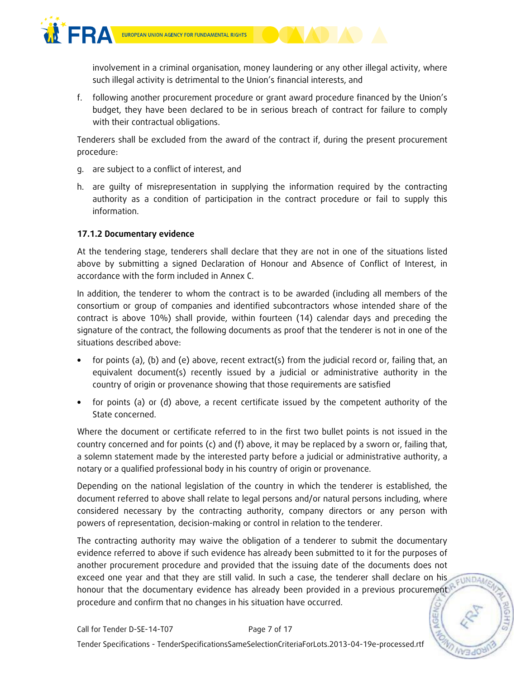

involvement in a criminal organisation, money laundering or any other illegal activity, where such illegal activity is detrimental to the Union's financial interests, and

f. following another procurement procedure or grant award procedure financed by the Union's budget, they have been declared to be in serious breach of contract for failure to comply with their contractual obligations.

Tenderers shall be excluded from the award of the contract if, during the present procurement procedure:

- g. are subject to a conflict of interest, and
- h. are guilty of misrepresentation in supplying the information required by the contracting authority as a condition of participation in the contract procedure or fail to supply this information.

#### 17.1.2 Documentary evidence

At the tendering stage, tenderers shall declare that they are not in one of the situations listed above by submitting a signed Declaration of Honour and Absence of Conflict of Interest, in accordance with the form included in Annex C.

In addition, the tenderer to whom the contract is to be awarded (including all members of the consortium or group of companies and identified subcontractors whose intended share of the contract is above 10%) shall provide, within fourteen (14) calendar days and preceding the signature of the contract, the following documents as proof that the tenderer is not in one of the situations described above:

- for points (a), (b) and (e) above, recent extract(s) from the judicial record or, failing that, an equivalent document(s) recently issued by a judicial or administrative authority in the country of origin or provenance showing that those requirements are satisfied
- for points (a) or (d) above, a recent certificate issued by the competent authority of the State concerned.

Where the document or certificate referred to in the first two bullet points is not issued in the country concerned and for points (c) and (f) above, it may be replaced by a sworn or, failing that, a solemn statement made by the interested party before a judicial or administrative authority, a notary or a qualified professional body in his country of origin or provenance.

Depending on the national legislation of the country in which the tenderer is established, the document referred to above shall relate to legal persons and/or natural persons including, where considered necessary by the contracting authority, company directors or any person with powers of representation, decision-making or control in relation to the tenderer.

The contracting authority may waive the obligation of a tenderer to submit the documentary evidence referred to above if such evidence has already been submitted to it for the purposes of another procurement procedure and provided that the issuing date of the documents does not exceed one year and that they are still valid. In such a case, the tenderer shall declare on his **EUNDAM** honour that the documentary evidence has already been provided in a previous procurement procedure and confirm that no changes in his situation have occurred.

**NGEI**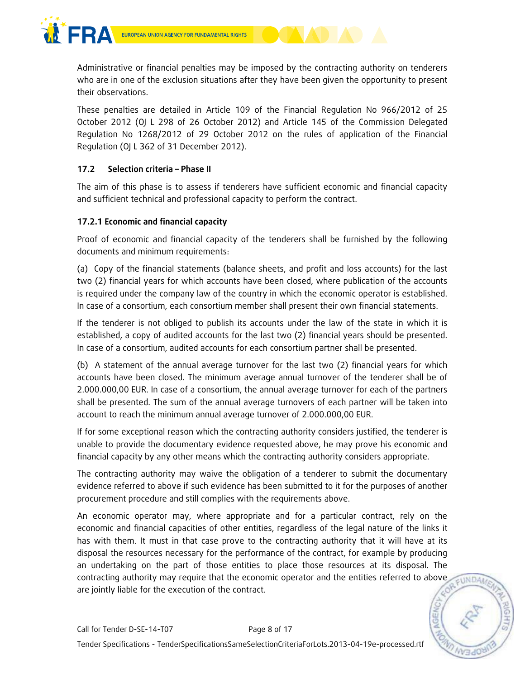

Administrative or financial penalties may be imposed by the contracting authority on tenderers who are in one of the exclusion situations after they have been given the opportunity to present their observations.

These penalties are detailed in Article 109 of the Financial Regulation No 966/2012 of 25 October 2012 (OJ L 298 of 26 October 2012) and Article 145 of the Commission Delegated Regulation No 1268/2012 of 29 October 2012 on the rules of application of the Financial Regulation (OJ L 362 of 31 December 2012).

#### 17.2 Selection criteria – Phase II

The aim of this phase is to assess if tenderers have sufficient economic and financial capacity and sufficient technical and professional capacity to perform the contract.

#### 17.2.1 Economic and financial capacity

Proof of economic and financial capacity of the tenderers shall be furnished by the following documents and minimum requirements:

(a) Copy of the financial statements (balance sheets, and profit and loss accounts) for the last two (2) financial years for which accounts have been closed, where publication of the accounts is required under the company law of the country in which the economic operator is established. In case of a consortium, each consortium member shall present their own financial statements.

If the tenderer is not obliged to publish its accounts under the law of the state in which it is established, a copy of audited accounts for the last two (2) financial years should be presented. In case of a consortium, audited accounts for each consortium partner shall be presented.

(b) A statement of the annual average turnover for the last two (2) financial years for which accounts have been closed. The minimum average annual turnover of the tenderer shall be of 2.000.000,00 EUR. In case of a consortium, the annual average turnover for each of the partners shall be presented. The sum of the annual average turnovers of each partner will be taken into account to reach the minimum annual average turnover of 2.000.000,00 EUR.

If for some exceptional reason which the contracting authority considers justified, the tenderer is unable to provide the documentary evidence requested above, he may prove his economic and financial capacity by any other means which the contracting authority considers appropriate.

The contracting authority may waive the obligation of a tenderer to submit the documentary evidence referred to above if such evidence has been submitted to it for the purposes of another procurement procedure and still complies with the requirements above.

An economic operator may, where appropriate and for a particular contract, rely on the economic and financial capacities of other entities, regardless of the legal nature of the links it has with them. It must in that case prove to the contracting authority that it will have at its disposal the resources necessary for the performance of the contract, for example by producing an undertaking on the part of those entities to place those resources at its disposal. The contracting authority may require that the economic operator and the entities referred to above are jointly liable for the execution of the contract.

EUNDAM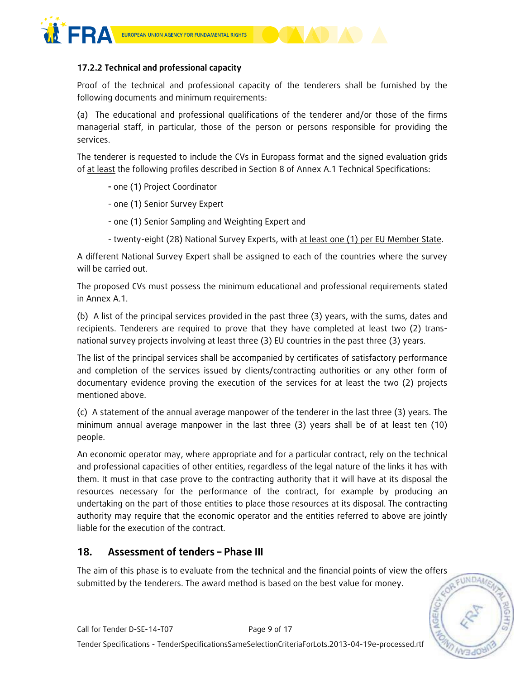

#### 17.2.2 Technical and professional capacity

Proof of the technical and professional capacity of the tenderers shall be furnished by the following documents and minimum requirements:

(a) The educational and professional qualifications of the tenderer and/or those of the firms managerial staff, in particular, those of the person or persons responsible for providing the services.

The tenderer is requested to include the CVs in Europass format and the signed evaluation grids of at least the following profiles described in Section 8 of Annex A.1 Technical Specifications:

- one (1) Project Coordinator
- one (1) Senior Survey Expert
- one (1) Senior Sampling and Weighting Expert and
- twenty-eight (28) National Survey Experts, with at least one (1) per EU Member State.

A different National Survey Expert shall be assigned to each of the countries where the survey will be carried out.

The proposed CVs must possess the minimum educational and professional requirements stated in Annex A.1.

(b) A list of the principal services provided in the past three (3) years, with the sums, dates and recipients. Tenderers are required to prove that they have completed at least two (2) transnational survey projects involving at least three (3) EU countries in the past three (3) years.

The list of the principal services shall be accompanied by certificates of satisfactory performance and completion of the services issued by clients/contracting authorities or any other form of documentary evidence proving the execution of the services for at least the two (2) projects mentioned above.

(c) A statement of the annual average manpower of the tenderer in the last three (3) years. The minimum annual average manpower in the last three (3) years shall be of at least ten (10) people.

An economic operator may, where appropriate and for a particular contract, rely on the technical and professional capacities of other entities, regardless of the legal nature of the links it has with them. It must in that case prove to the contracting authority that it will have at its disposal the resources necessary for the performance of the contract, for example by producing an undertaking on the part of those entities to place those resources at its disposal. The contracting authority may require that the economic operator and the entities referred to above are jointly liable for the execution of the contract.

## 18. Assessment of tenders – Phase III

The aim of this phase is to evaluate from the technical and the financial points of view the offers submitted by the tenderers. The award method is based on the best value for money.

**FUNDAM**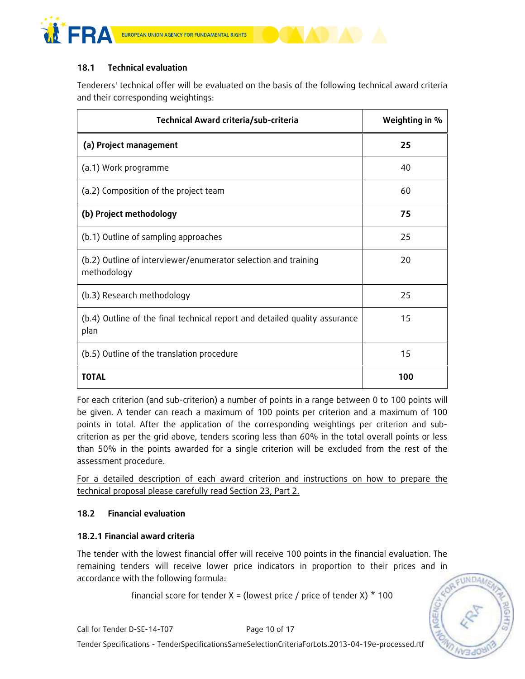

#### 18.1 Technical evaluation

Tenderers' technical offer will be evaluated on the basis of the following technical award criteria and their corresponding weightings:

| Technical Award criteria/sub-criteria                                              | Weighting in % |
|------------------------------------------------------------------------------------|----------------|
| (a) Project management                                                             | 25             |
| (a.1) Work programme                                                               | 40             |
| (a.2) Composition of the project team                                              | 60             |
| (b) Project methodology                                                            | 75             |
| (b.1) Outline of sampling approaches                                               | 25             |
| (b.2) Outline of interviewer/enumerator selection and training<br>methodology      | 20             |
| (b.3) Research methodology                                                         | 25             |
| (b.4) Outline of the final technical report and detailed quality assurance<br>plan | 15             |
| (b.5) Outline of the translation procedure                                         | 15             |
| <b>TOTAL</b>                                                                       | 100            |

For each criterion (and sub-criterion) a number of points in a range between 0 to 100 points will be given. A tender can reach a maximum of 100 points per criterion and a maximum of 100 points in total. After the application of the corresponding weightings per criterion and subcriterion as per the grid above, tenders scoring less than 60% in the total overall points or less than 50% in the points awarded for a single criterion will be excluded from the rest of the assessment procedure.

For a detailed description of each award criterion and instructions on how to prepare the technical proposal please carefully read Section 23, Part 2.

#### 18.2 Financial evaluation

#### 18.2.1 Financial award criteria

The tender with the lowest financial offer will receive 100 points in the financial evaluation. The remaining tenders will receive lower price indicators in proportion to their prices and in accordance with the following formula:

financial score for tender  $X =$  (lowest price / price of tender X)  $*$  100

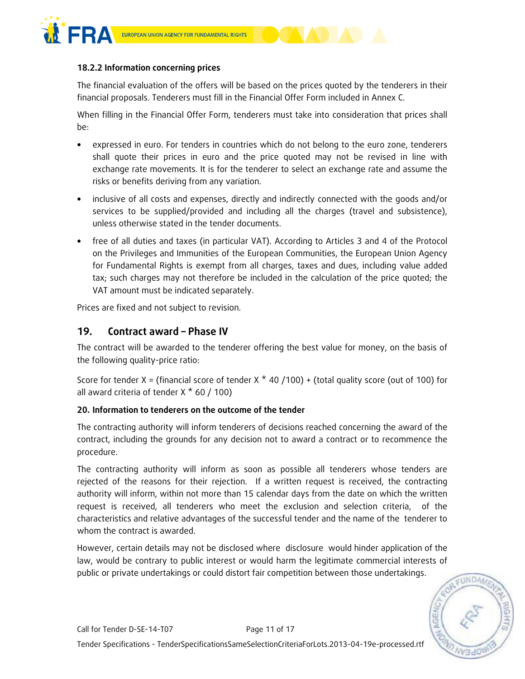

#### 18.2.2 Information concerning prices

The financial evaluation of the offers will be based on the prices quoted by the tenderers in their financial proposals. Tenderers must fill in the Financial Offer Form included in Annex C.

When filling in the Financial Offer Form, tenderers must take into consideration that prices shall be:

- expressed in euro. For tenders in countries which do not belong to the euro zone, tenderers shall quote their prices in euro and the price quoted may not be revised in line with exchange rate movements. It is for the tenderer to select an exchange rate and assume the risks or benefits deriving from any variation.
- inclusive of all costs and expenses, directly and indirectly connected with the goods and/or services to be supplied/provided and including all the charges (travel and subsistence), unless otherwise stated in the tender documents.
- free of all duties and taxes (in particular VAT). According to Articles 3 and 4 of the Protocol on the Privileges and Immunities of the European Communities, the European Union Agency for Fundamental Rights is exempt from all charges, taxes and dues, including value added tax; such charges may not therefore be included in the calculation of the price quoted; the VAT amount must be indicated separately.

Prices are fixed and not subject to revision.

## 19. Contract award – Phase IV

The contract will be awarded to the tenderer offering the best value for money, on the basis of the following quality-price ratio:

Score for tender X = (financial score of tender X  $*$  40 /100) + (total quality score (out of 100) for all award criteria of tender  $X * 60 / 100$ 

#### 20. Information to tenderers on the outcome of the tender

The contracting authority will inform tenderers of decisions reached concerning the award of the contract, including the grounds for any decision not to award a contract or to recommence the procedure.

The contracting authority will inform as soon as possible all tenderers whose tenders are rejected of the reasons for their rejection. If a written request is received, the contracting authority will inform, within not more than 15 calendar days from the date on which the written request is received, all tenderers who meet the exclusion and selection criteria, of the characteristics and relative advantages of the successful tender and the name of the tenderer to whom the contract is awarded.

However, certain details may not be disclosed where disclosure would hinder application of the law, would be contrary to public interest or would harm the legitimate commercial interests of public or private undertakings or could distort fair competition between those undertakings.

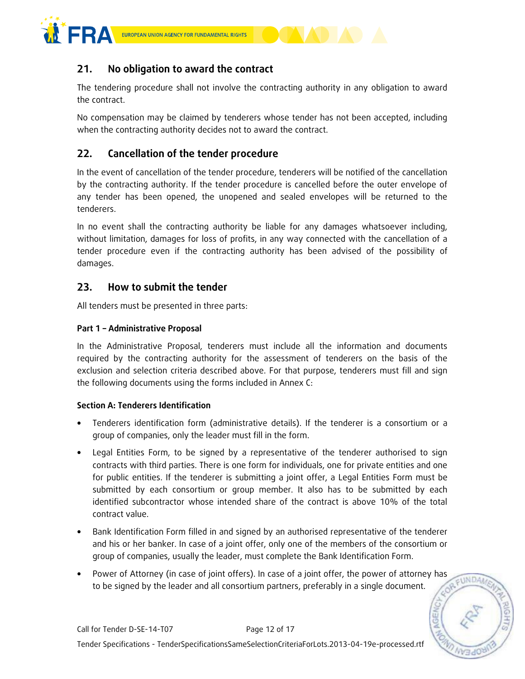

## 21. No obligation to award the contract

The tendering procedure shall not involve the contracting authority in any obligation to award the contract.

No compensation may be claimed by tenderers whose tender has not been accepted, including when the contracting authority decides not to award the contract.

## 22. Cancellation of the tender procedure

In the event of cancellation of the tender procedure, tenderers will be notified of the cancellation by the contracting authority. If the tender procedure is cancelled before the outer envelope of any tender has been opened, the unopened and sealed envelopes will be returned to the tenderers.

In no event shall the contracting authority be liable for any damages whatsoever including, without limitation, damages for loss of profits, in any way connected with the cancellation of a tender procedure even if the contracting authority has been advised of the possibility of damages.

## 23. How to submit the tender

All tenders must be presented in three parts:

#### Part 1 – Administrative Proposal

In the Administrative Proposal, tenderers must include all the information and documents required by the contracting authority for the assessment of tenderers on the basis of the exclusion and selection criteria described above. For that purpose, tenderers must fill and sign the following documents using the forms included in Annex C:

#### Section A: Tenderers Identification

- Tenderers identification form (administrative details). If the tenderer is a consortium or a group of companies, only the leader must fill in the form.
- Legal Entities Form, to be signed by a representative of the tenderer authorised to sign contracts with third parties. There is one form for individuals, one for private entities and one for public entities. If the tenderer is submitting a joint offer, a Legal Entities Form must be submitted by each consortium or group member. It also has to be submitted by each identified subcontractor whose intended share of the contract is above 10% of the total contract value.
- Bank Identification Form filled in and signed by an authorised representative of the tenderer and his or her banker. In case of a joint offer, only one of the members of the consortium or group of companies, usually the leader, must complete the Bank Identification Form.
- Power of Attorney (in case of joint offers). In case of a joint offer, the power of attorney has to be signed by the leader and all consortium partners, preferably in a single document.

FUNDAM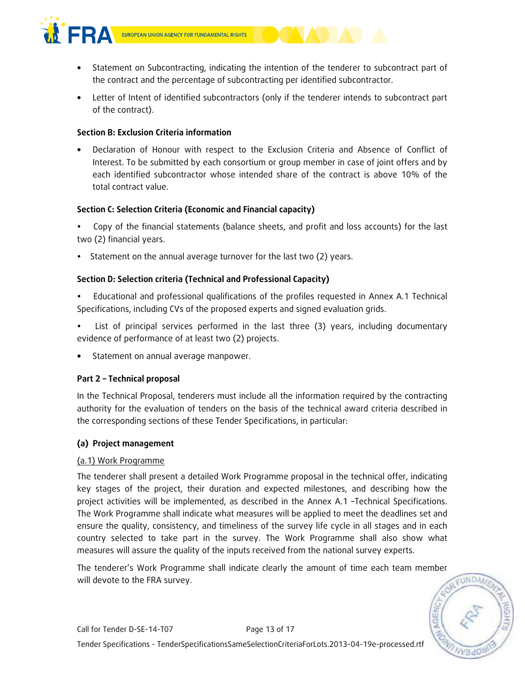



• Letter of Intent of identified subcontractors (only if the tenderer intends to subcontract part of the contract).

#### Section B: Exclusion Criteria information

• Declaration of Honour with respect to the Exclusion Criteria and Absence of Conflict of Interest. To be submitted by each consortium or group member in case of joint offers and by each identified subcontractor whose intended share of the contract is above 10% of the total contract value.

#### Section C: Selection Criteria (Economic and Financial capacity)

- Copy of the financial statements (balance sheets, and profit and loss accounts) for the last two (2) financial years.

- Statement on the annual average turnover for the last two (2) years.

#### Section D: Selection criteria (Technical and Professional Capacity)

- Educational and professional qualifications of the profiles requested in Annex A.1 Technical Specifications, including CVs of the proposed experts and signed evaluation grids.

- List of principal services performed in the last three (3) years, including documentary evidence of performance of at least two (2) projects.

• Statement on annual average manpower.

#### Part 2 – Technical proposal

In the Technical Proposal, tenderers must include all the information required by the contracting authority for the evaluation of tenders on the basis of the technical award criteria described in the corresponding sections of these Tender Specifications, in particular:

#### (a) Project management

#### (a.1) Work Programme

The tenderer shall present a detailed Work Programme proposal in the technical offer, indicating key stages of the project, their duration and expected milestones, and describing how the project activities will be implemented, as described in the Annex A.1 –Technical Specifications. The Work Programme shall indicate what measures will be applied to meet the deadlines set and ensure the quality, consistency, and timeliness of the survey life cycle in all stages and in each country selected to take part in the survey. The Work Programme shall also show what measures will assure the quality of the inputs received from the national survey experts.

The tenderer's Work Programme shall indicate clearly the amount of time each team member will devote to the FRA survey.

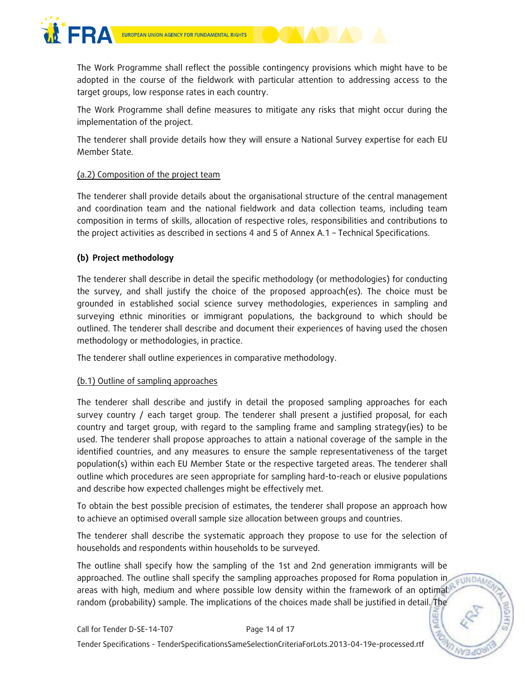

The Work Programme shall reflect the possible contingency provisions which might have to be adopted in the course of the fieldwork with particular attention to addressing access to the target groups, low response rates in each country.

The Work Programme shall define measures to mitigate any risks that might occur during the implementation of the project.

The tenderer shall provide details how they will ensure a National Survey expertise for each EU Member State.

#### (a.2) Composition of the project team

The tenderer shall provide details about the organisational structure of the central management and coordination team and the national fieldwork and data collection teams, including team composition in terms of skills, allocation of respective roles, responsibilities and contributions to the project activities as described in sections 4 and 5 of Annex A.1 – Technical Specifications.

#### (b) Project methodology

The tenderer shall describe in detail the specific methodology (or methodologies) for conducting the survey, and shall justify the choice of the proposed approach(es). The choice must be grounded in established social science survey methodologies, experiences in sampling and surveying ethnic minorities or immigrant populations, the background to which should be outlined. The tenderer shall describe and document their experiences of having used the chosen methodology or methodologies, in practice.

The tenderer shall outline experiences in comparative methodology.

#### (b.1) Outline of sampling approaches

The tenderer shall describe and justify in detail the proposed sampling approaches for each survey country / each target group. The tenderer shall present a justified proposal, for each country and target group, with regard to the sampling frame and sampling strategy(ies) to be used. The tenderer shall propose approaches to attain a national coverage of the sample in the identified countries, and any measures to ensure the sample representativeness of the target population(s) within each EU Member State or the respective targeted areas. The tenderer shall outline which procedures are seen appropriate for sampling hard-to-reach or elusive populations and describe how expected challenges might be effectively met.

To obtain the best possible precision of estimates, the tenderer shall propose an approach how to achieve an optimised overall sample size allocation between groups and countries.

The tenderer shall describe the systematic approach they propose to use for the selection of households and respondents within households to be surveyed.

The outline shall specify how the sampling of the 1st and 2nd generation immigrants will be approached. The outline shall specify the sampling approaches proposed for Roma population in EUNDAM areas with high, medium and where possible low density within the framework of an optimal random (probability) sample. The implications of the choices made shall be justified in detail. The

**NGEI**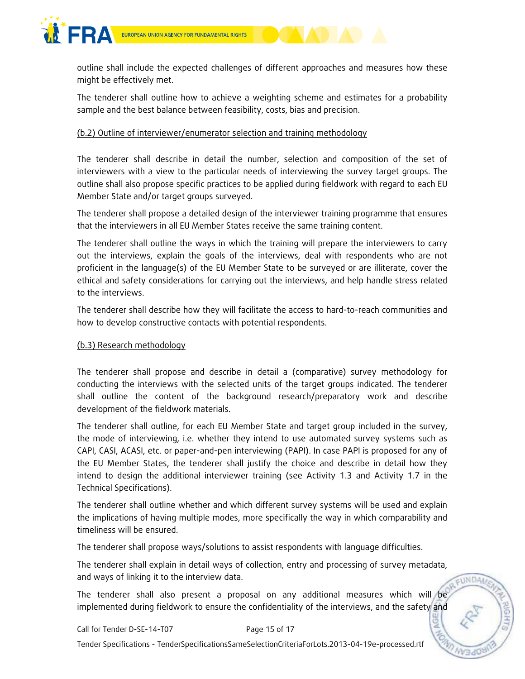

outline shall include the expected challenges of different approaches and measures how these might be effectively met.

The tenderer shall outline how to achieve a weighting scheme and estimates for a probability sample and the best balance between feasibility, costs, bias and precision.

#### (b.2) Outline of interviewer/enumerator selection and training methodology

The tenderer shall describe in detail the number, selection and composition of the set of interviewers with a view to the particular needs of interviewing the survey target groups. The outline shall also propose specific practices to be applied during fieldwork with regard to each EU Member State and/or target groups surveyed.

The tenderer shall propose a detailed design of the interviewer training programme that ensures that the interviewers in all EU Member States receive the same training content.

The tenderer shall outline the ways in which the training will prepare the interviewers to carry out the interviews, explain the goals of the interviews, deal with respondents who are not proficient in the language(s) of the EU Member State to be surveyed or are illiterate, cover the ethical and safety considerations for carrying out the interviews, and help handle stress related to the interviews.

The tenderer shall describe how they will facilitate the access to hard-to-reach communities and how to develop constructive contacts with potential respondents.

#### (b.3) Research methodology

The tenderer shall propose and describe in detail a (comparative) survey methodology for conducting the interviews with the selected units of the target groups indicated. The tenderer shall outline the content of the background research/preparatory work and describe development of the fieldwork materials.

The tenderer shall outline, for each EU Member State and target group included in the survey, the mode of interviewing, i.e. whether they intend to use automated survey systems such as CAPI, CASI, ACASI, etc. or paper-and-pen interviewing (PAPI). In case PAPI is proposed for any of the EU Member States, the tenderer shall justify the choice and describe in detail how they intend to design the additional interviewer training (see Activity 1.3 and Activity 1.7 in the Technical Specifications).

The tenderer shall outline whether and which different survey systems will be used and explain the implications of having multiple modes, more specifically the way in which comparability and timeliness will be ensured.

The tenderer shall propose ways/solutions to assist respondents with language difficulties.

The tenderer shall explain in detail ways of collection, entry and processing of survey metadata, and ways of linking it to the interview data.

The tenderer shall also present a proposal on any additional measures which will be implemented during fieldwork to ensure the confidentiality of the interviews, and the safety and

EUNDAN

Tender Specifications - TenderSpecificationsSameSelectionCriteriaForLots.2013-04-19e-processed.rtf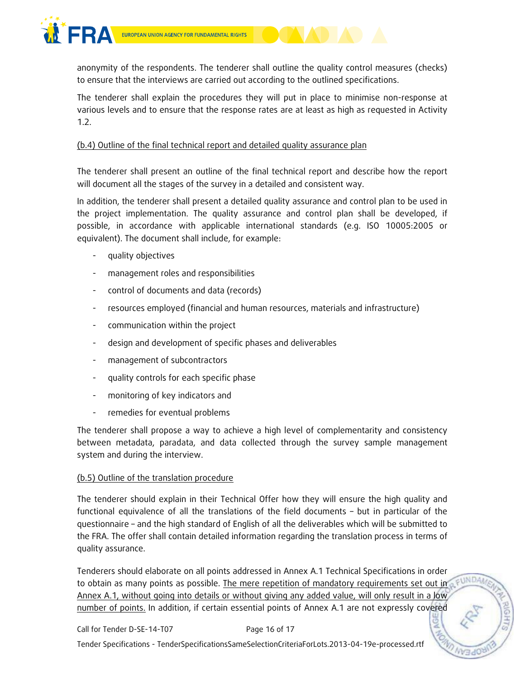

anonymity of the respondents. The tenderer shall outline the quality control measures (checks) to ensure that the interviews are carried out according to the outlined specifications.

The tenderer shall explain the procedures they will put in place to minimise non-response at various levels and to ensure that the response rates are at least as high as requested in Activity 1.2.

#### (b.4) Outline of the final technical report and detailed quality assurance plan

The tenderer shall present an outline of the final technical report and describe how the report will document all the stages of the survey in a detailed and consistent way.

In addition, the tenderer shall present a detailed quality assurance and control plan to be used in the project implementation. The quality assurance and control plan shall be developed, if possible, in accordance with applicable international standards (e.g. ISO 10005:2005 or equivalent). The document shall include, for example:

- quality objectives
- management roles and responsibilities
- control of documents and data (records)
- resources employed (financial and human resources, materials and infrastructure)
- communication within the project
- design and development of specific phases and deliverables
- management of subcontractors
- quality controls for each specific phase
- monitoring of key indicators and
- remedies for eventual problems

The tenderer shall propose a way to achieve a high level of complementarity and consistency between metadata, paradata, and data collected through the survey sample management system and during the interview.

#### (b.5) Outline of the translation procedure

The tenderer should explain in their Technical Offer how they will ensure the high quality and functional equivalence of all the translations of the field documents – but in particular of the questionnaire – and the high standard of English of all the deliverables which will be submitted to the FRA. The offer shall contain detailed information regarding the translation process in terms of quality assurance.

Tenderers should elaborate on all points addressed in Annex A.1 Technical Specifications in order FUNDAM to obtain as many points as possible. The mere repetition of mandatory requirements set out in Annex A.1, without going into details or without giving any added value, will only result in a low number of points. In addition, if certain essential points of Annex A.1 are not expressly covered

Tender Specifications - TenderSpecificationsSameSelectionCriteriaForLots.2013-04-19e-processed.rtf